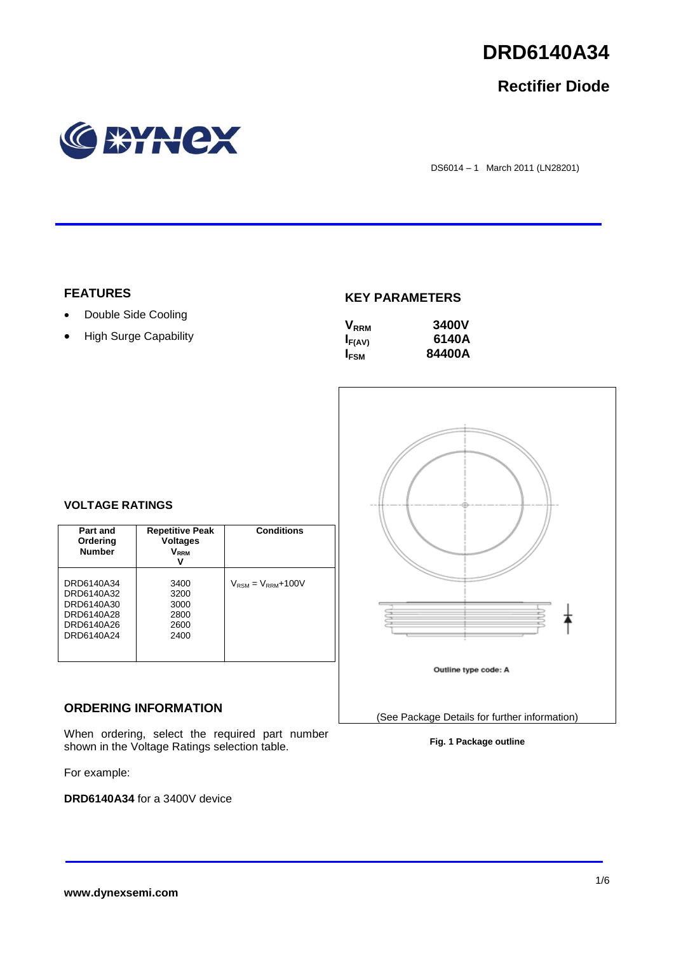

## **Rectifier Diode**



DS6014 – 1 March 2011 (LN28201)

## **FEATURES**

- Double Side Cooling
- High Surge Capability

## **KEY PARAMETERS**

| $\mathsf{V}_{\scriptscriptstyle\sf RRM}$ | 3400V  |
|------------------------------------------|--------|
| $I_{F(AV)}$                              | 6140A  |
| I <sub>FSM</sub>                         | 84400A |



## **VOLTAGE RATINGS**

| Part and<br>Ordering<br><b>Number</b>                                            | <b>Repetitive Peak</b><br><b>Voltages</b><br>$\mathsf{V}_\mathsf{RRM}$<br>v | <b>Conditions</b>                        |
|----------------------------------------------------------------------------------|-----------------------------------------------------------------------------|------------------------------------------|
| DRD6140A34<br>DRD6140A32<br>DRD6140A30<br>DRD6140A28<br>DRD6140A26<br>DRD6140A24 | 3400<br>3200<br>3000<br>2800<br>2600<br>2400                                | $V_{\text{RSM}} = V_{\text{RRM}} + 100V$ |

## **ORDERING INFORMATION**

When ordering, select the required part number shown in the Voltage Ratings selection table.

For example:

**DRD6140A34** for a 3400V device

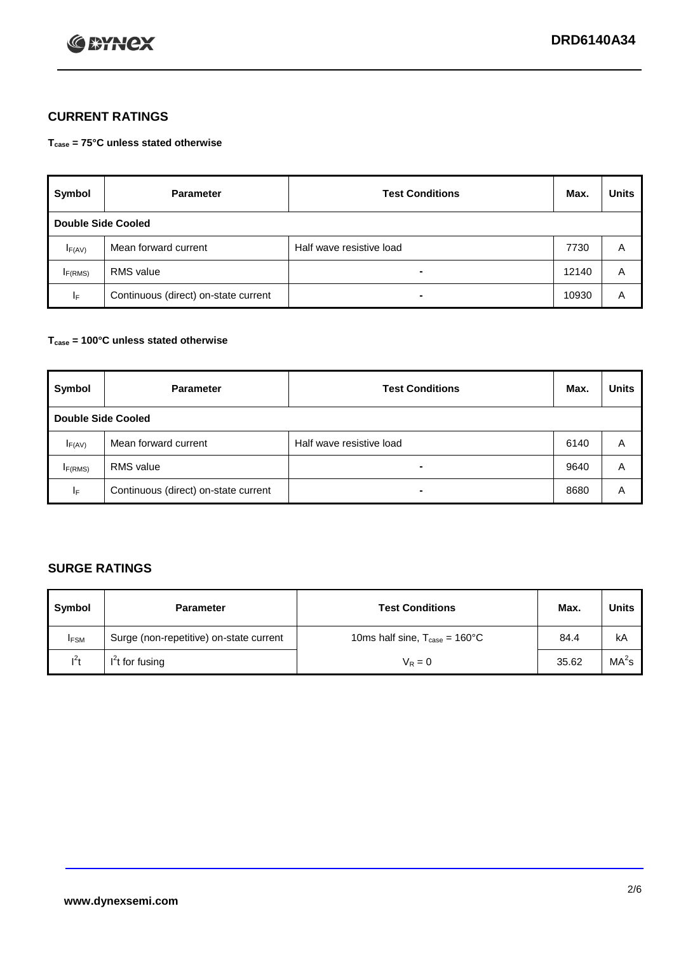

## **CURRENT RATINGS**

**Tcase = 75°C unless stated otherwise**

| Symbol             | <b>Parameter</b>                     | <b>Test Conditions</b>   | Max.  | <b>Units</b> |  |
|--------------------|--------------------------------------|--------------------------|-------|--------------|--|
| Double Side Cooled |                                      |                          |       |              |  |
| $I_{F(AV)}$        | Mean forward current                 | Half wave resistive load | 7730  | A            |  |
| IF(RMS)            | <b>RMS</b> value                     | $\blacksquare$           | 12140 | A            |  |
| IF.                | Continuous (direct) on-state current | -                        | 10930 | Α            |  |

### **Tcase = 100°C unless stated otherwise**

| Symbol              | <b>Parameter</b>                     | <b>Test Conditions</b>   | Max. | <b>Units</b> |  |  |
|---------------------|--------------------------------------|--------------------------|------|--------------|--|--|
|                     | <b>Double Side Cooled</b>            |                          |      |              |  |  |
| $I_{F(AV)}$         | Mean forward current                 | Half wave resistive load | 6140 | Α            |  |  |
| I <sub>F(RMS)</sub> | <b>RMS</b> value                     | $\overline{\phantom{0}}$ | 9640 | A            |  |  |
| IF                  | Continuous (direct) on-state current | ۰                        | 8680 | A            |  |  |

## **SURGE RATINGS**

| Symbol      | <b>Parameter</b>                        | <b>Test Conditions</b>                            | Max.  | <b>Units</b>      |
|-------------|-----------------------------------------|---------------------------------------------------|-------|-------------------|
| <b>IFSM</b> | Surge (non-repetitive) on-state current | 10ms half sine, $T_{\text{case}} = 160^{\circ}$ C | 84.4  | kA                |
| $l^2t$      | I <sup>'</sup> t for fusing             | $V_R = 0$                                         | 35.62 | MA <sup>2</sup> s |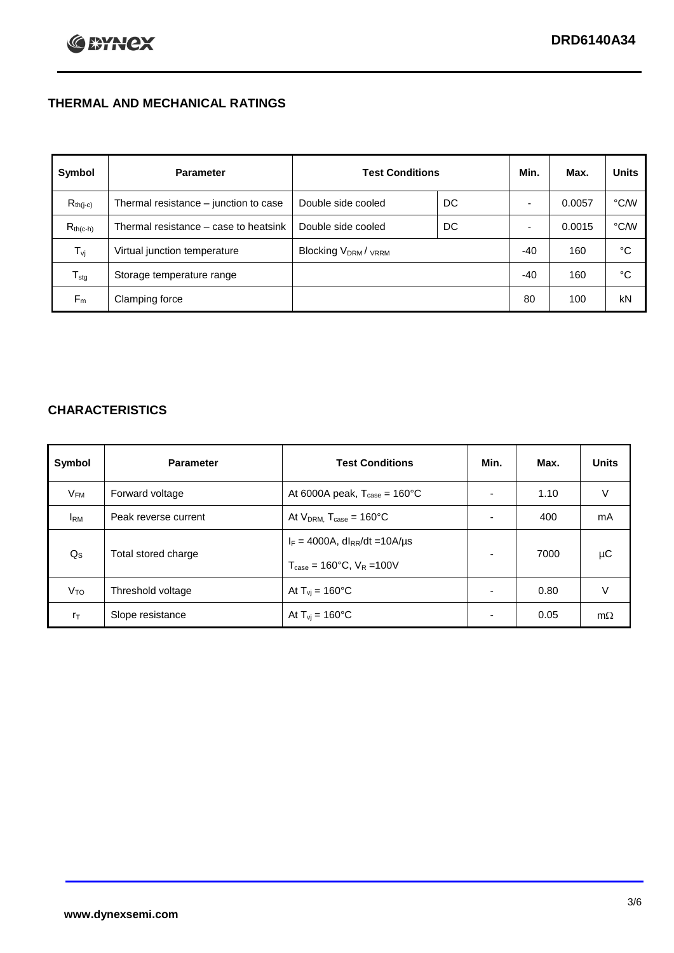## **THERMAL AND MECHANICAL RATINGS**

| Symbol           | <b>Parameter</b>                      | <b>Test Conditions</b>                      |    | Min.  | Max.   | <b>Units</b> |
|------------------|---------------------------------------|---------------------------------------------|----|-------|--------|--------------|
| $R_{th(j-c)}$    | Thermal resistance – junction to case | Double side cooled                          | DC |       | 0.0057 | °C/W         |
| $R_{th(c-h)}$    | Thermal resistance – case to heatsink | Double side cooled                          | DC |       | 0.0015 | °C/W         |
| $T_{\rm vj}$     | Virtual junction temperature          | Blocking V <sub>DRM</sub> / <sub>VRRM</sub> |    | $-40$ | 160    | °C           |
| $T_{\text{stg}}$ | Storage temperature range             |                                             |    | $-40$ | 160    | °C           |
| $F_m$            | Clamping force                        |                                             |    | 80    | 100    | kN           |

## **CHARACTERISTICS**

| Symbol                   | <b>Parameter</b>     | <b>Test Conditions</b>                                                                           | Min.           | Max. | <b>Units</b> |
|--------------------------|----------------------|--------------------------------------------------------------------------------------------------|----------------|------|--------------|
| $\mathsf{V}_\mathsf{FM}$ | Forward voltage      | At 6000A peak, $T_{\text{case}} = 160^{\circ}C$                                                  |                | 1.10 | V            |
| <b>I</b> <sub>RM</sub>   | Peak reverse current | At $V_{DRM}$ , $T_{case} = 160^{\circ}C$                                                         | ۰              | 400  | mA           |
| $Q_{\rm S}$              | Total stored charge  | $I_F = 4000A$ , dl <sub>RR</sub> /dt = 10A/us<br>$T_{\text{case}} = 160^{\circ}$ C. $V_R = 100V$ | $\blacksquare$ | 7000 | μC           |
| V <sub>TO</sub>          | Threshold voltage    | At $T_{vi}$ = 160 $^{\circ}$ C                                                                   | $\blacksquare$ | 0.80 | V            |
| $r_{\text{T}}$           | Slope resistance     | At $T_{vi} = 160^{\circ}$ C                                                                      | ۰              | 0.05 | $m\Omega$    |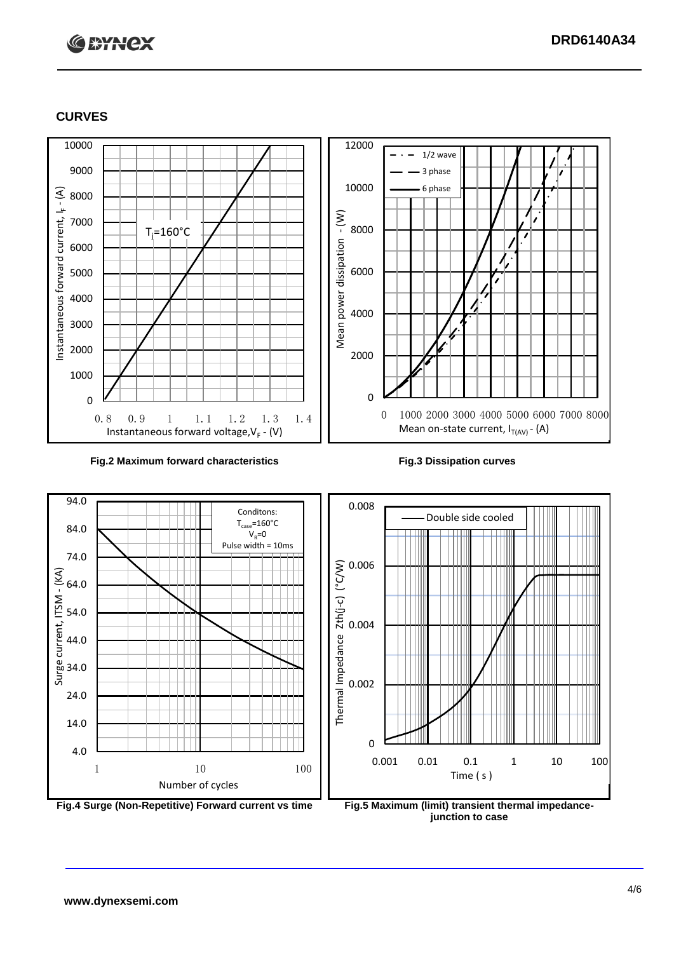# **C BYNCX**

## **CURVES**



### **Fig.2 Maximum forward characteristics Fig.3 Dissipation curves**



**junction to case**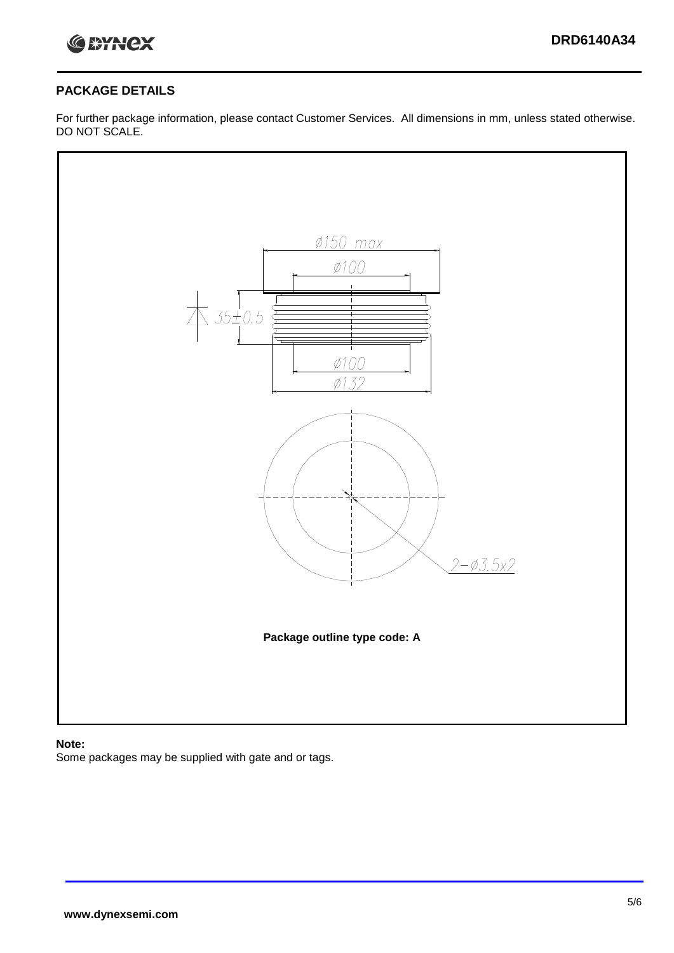

## **PACKAGE DETAILS**

For further package information, please contact Customer Services. All dimensions in mm, unless stated otherwise. DO NOT SCALE.



## **Note:**

Some packages may be supplied with gate and or tags.